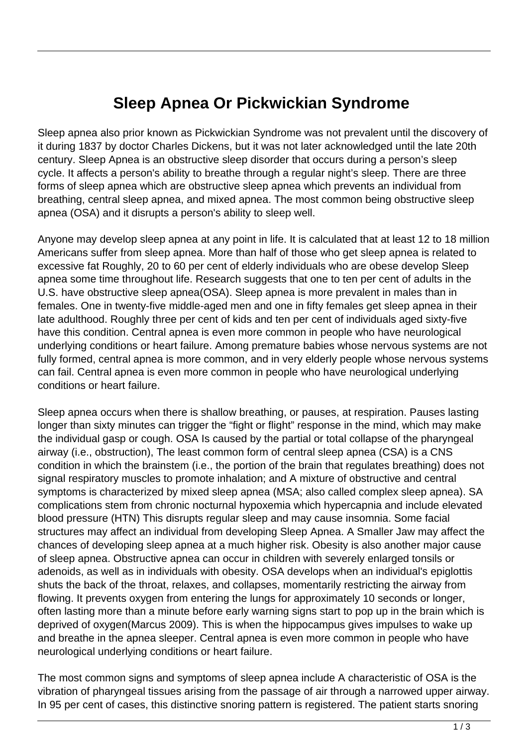## **Sleep Apnea Or Pickwickian Syndrome**

Sleep apnea also prior known as Pickwickian Syndrome was not prevalent until the discovery of it during 1837 by doctor Charles Dickens, but it was not later acknowledged until the late 20th century. Sleep Apnea is an obstructive sleep disorder that occurs during a person's sleep cycle. It affects a person's ability to breathe through a regular night's sleep. There are three forms of sleep apnea which are obstructive sleep apnea which prevents an individual from breathing, central sleep apnea, and mixed apnea. The most common being obstructive sleep apnea (OSA) and it disrupts a person's ability to sleep well.

Anyone may develop sleep apnea at any point in life. It is calculated that at least 12 to 18 million Americans suffer from sleep apnea. More than half of those who get sleep apnea is related to excessive fat Roughly, 20 to 60 per cent of elderly individuals who are obese develop Sleep apnea some time throughout life. Research suggests that one to ten per cent of adults in the U.S. have obstructive sleep apnea(OSA). Sleep apnea is more prevalent in males than in females. One in twenty-five middle-aged men and one in fifty females get sleep apnea in their late adulthood. Roughly three per cent of kids and ten per cent of individuals aged sixty-five have this condition. Central apnea is even more common in people who have neurological underlying conditions or heart failure. Among premature babies whose nervous systems are not fully formed, central apnea is more common, and in very elderly people whose nervous systems can fail. Central apnea is even more common in people who have neurological underlying conditions or heart failure.

Sleep apnea occurs when there is shallow breathing, or pauses, at respiration. Pauses lasting longer than sixty minutes can trigger the "fight or flight" response in the mind, which may make the individual gasp or cough. OSA Is caused by the partial or total collapse of the pharyngeal airway (i.e., obstruction), The least common form of central sleep apnea (CSA) is a CNS condition in which the brainstem (i.e., the portion of the brain that regulates breathing) does not signal respiratory muscles to promote inhalation; and A mixture of obstructive and central symptoms is characterized by mixed sleep apnea (MSA; also called complex sleep apnea). SA complications stem from chronic nocturnal hypoxemia which hypercapnia and include elevated blood pressure (HTN) This disrupts regular sleep and may cause insomnia. Some facial structures may affect an individual from developing Sleep Apnea. A Smaller Jaw may affect the chances of developing sleep apnea at a much higher risk. Obesity is also another major cause of sleep apnea. Obstructive apnea can occur in children with severely enlarged tonsils or adenoids, as well as in individuals with obesity. OSA develops when an individual's epiglottis shuts the back of the throat, relaxes, and collapses, momentarily restricting the airway from flowing. It prevents oxygen from entering the lungs for approximately 10 seconds or longer, often lasting more than a minute before early warning signs start to pop up in the brain which is deprived of oxygen(Marcus 2009). This is when the hippocampus gives impulses to wake up and breathe in the apnea sleeper. Central apnea is even more common in people who have neurological underlying conditions or heart failure.

The most common signs and symptoms of sleep apnea include A characteristic of OSA is the vibration of pharyngeal tissues arising from the passage of air through a narrowed upper airway. In 95 per cent of cases, this distinctive snoring pattern is registered. The patient starts snoring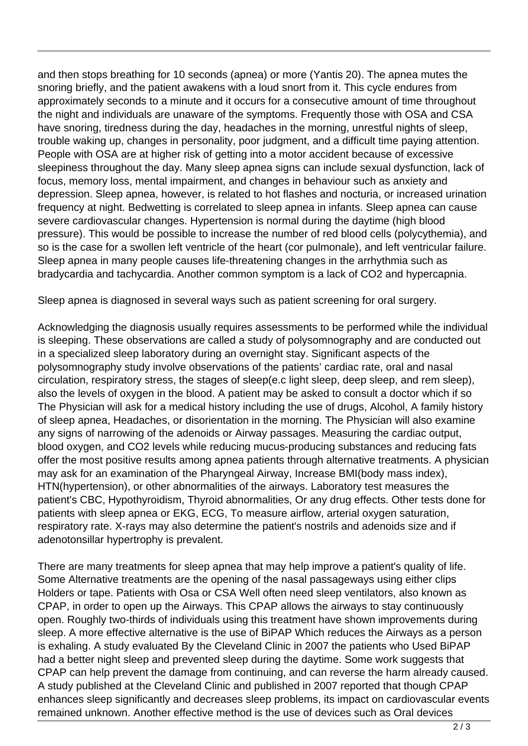and then stops breathing for 10 seconds (apnea) or more (Yantis 20). The apnea mutes the snoring briefly, and the patient awakens with a loud snort from it. This cycle endures from approximately seconds to a minute and it occurs for a consecutive amount of time throughout the night and individuals are unaware of the symptoms. Frequently those with OSA and CSA have snoring, tiredness during the day, headaches in the morning, unrestful nights of sleep, trouble waking up, changes in personality, poor judgment, and a difficult time paying attention. People with OSA are at higher risk of getting into a motor accident because of excessive sleepiness throughout the day. Many sleep apnea signs can include sexual dysfunction, lack of focus, memory loss, mental impairment, and changes in behaviour such as anxiety and depression. Sleep apnea, however, is related to hot flashes and nocturia, or increased urination frequency at night. Bedwetting is correlated to sleep apnea in infants. Sleep apnea can cause severe cardiovascular changes. Hypertension is normal during the daytime (high blood pressure). This would be possible to increase the number of red blood cells (polycythemia), and so is the case for a swollen left ventricle of the heart (cor pulmonale), and left ventricular failure. Sleep apnea in many people causes life-threatening changes in the arrhythmia such as bradycardia and tachycardia. Another common symptom is a lack of CO2 and hypercapnia.

Sleep apnea is diagnosed in several ways such as patient screening for oral surgery.

Acknowledging the diagnosis usually requires assessments to be performed while the individual is sleeping. These observations are called a study of polysomnography and are conducted out in a specialized sleep laboratory during an overnight stay. Significant aspects of the polysomnography study involve observations of the patients' cardiac rate, oral and nasal circulation, respiratory stress, the stages of sleep(e.c light sleep, deep sleep, and rem sleep), also the levels of oxygen in the blood. A patient may be asked to consult a doctor which if so The Physician will ask for a medical history including the use of drugs, Alcohol, A family history of sleep apnea, Headaches, or disorientation in the morning. The Physician will also examine any signs of narrowing of the adenoids or Airway passages. Measuring the cardiac output, blood oxygen, and CO2 levels while reducing mucus-producing substances and reducing fats offer the most positive results among apnea patients through alternative treatments. A physician may ask for an examination of the Pharyngeal Airway, Increase BMI(body mass index), HTN(hypertension), or other abnormalities of the airways. Laboratory test measures the patient's CBC, Hypothyroidism, Thyroid abnormalities, Or any drug effects. Other tests done for patients with sleep apnea or EKG, ECG, To measure airflow, arterial oxygen saturation, respiratory rate. X-rays may also determine the patient's nostrils and adenoids size and if adenotonsillar hypertrophy is prevalent.

There are many treatments for sleep apnea that may help improve a patient's quality of life. Some Alternative treatments are the opening of the nasal passageways using either clips Holders or tape. Patients with Osa or CSA Well often need sleep ventilators, also known as CPAP, in order to open up the Airways. This CPAP allows the airways to stay continuously open. Roughly two-thirds of individuals using this treatment have shown improvements during sleep. A more effective alternative is the use of BiPAP Which reduces the Airways as a person is exhaling. A study evaluated By the Cleveland Clinic in 2007 the patients who Used BiPAP had a better night sleep and prevented sleep during the daytime. Some work suggests that CPAP can help prevent the damage from continuing, and can reverse the harm already caused. A study published at the Cleveland Clinic and published in 2007 reported that though CPAP enhances sleep significantly and decreases sleep problems, its impact on cardiovascular events remained unknown. Another effective method is the use of devices such as Oral devices